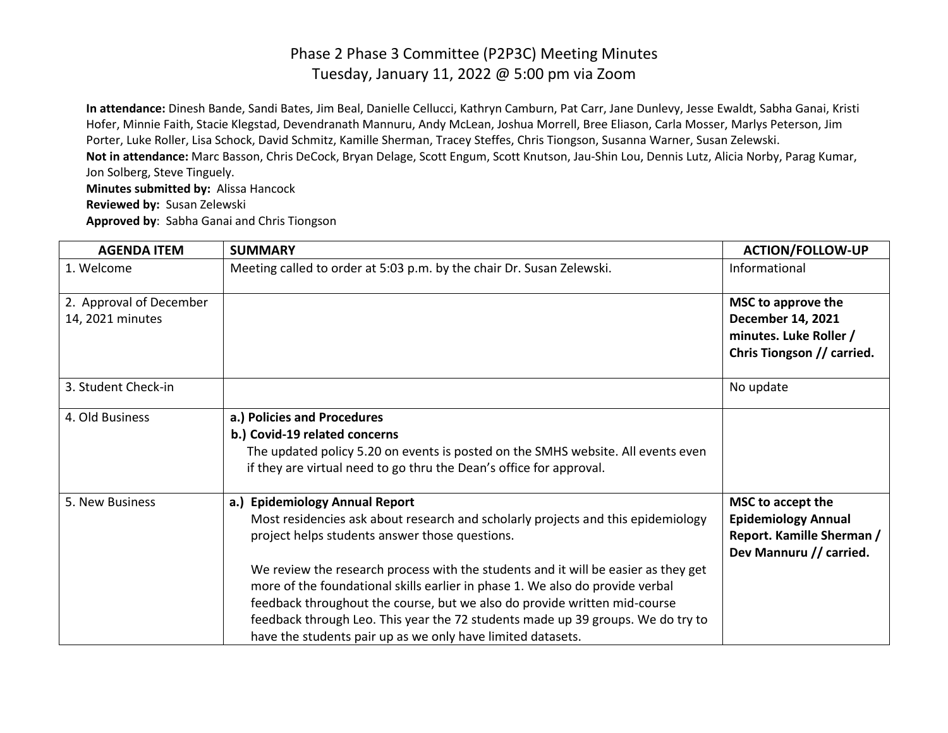**In attendance:** Dinesh Bande, Sandi Bates, Jim Beal, Danielle Cellucci, Kathryn Camburn, Pat Carr, Jane Dunlevy, Jesse Ewaldt, Sabha Ganai, Kristi Hofer, Minnie Faith, Stacie Klegstad, Devendranath Mannuru, Andy McLean, Joshua Morrell, Bree Eliason, Carla Mosser, Marlys Peterson, Jim Porter, Luke Roller, Lisa Schock, David Schmitz, Kamille Sherman, Tracey Steffes, Chris Tiongson, Susanna Warner, Susan Zelewski. **Not in attendance:** Marc Basson, Chris DeCock, Bryan Delage, Scott Engum, Scott Knutson, Jau-Shin Lou, Dennis Lutz, Alicia Norby, Parag Kumar, Jon Solberg, Steve Tinguely. **Minutes submitted by:** Alissa Hancock

**Reviewed by:** Susan Zelewski

**Approved by**: Sabha Ganai and Chris Tiongson

| <b>AGENDA ITEM</b>                          | <b>SUMMARY</b>                                                                                                                                                                                                                                                                                                                                                                                     | <b>ACTION/FOLLOW-UP</b>                                                                                 |
|---------------------------------------------|----------------------------------------------------------------------------------------------------------------------------------------------------------------------------------------------------------------------------------------------------------------------------------------------------------------------------------------------------------------------------------------------------|---------------------------------------------------------------------------------------------------------|
| 1. Welcome                                  | Meeting called to order at 5:03 p.m. by the chair Dr. Susan Zelewski.                                                                                                                                                                                                                                                                                                                              | Informational                                                                                           |
| 2. Approval of December<br>14, 2021 minutes |                                                                                                                                                                                                                                                                                                                                                                                                    | MSC to approve the<br><b>December 14, 2021</b><br>minutes. Luke Roller /<br>Chris Tiongson // carried.  |
| 3. Student Check-in                         |                                                                                                                                                                                                                                                                                                                                                                                                    | No update                                                                                               |
| 4. Old Business                             | a.) Policies and Procedures<br>b.) Covid-19 related concerns<br>The updated policy 5.20 on events is posted on the SMHS website. All events even<br>if they are virtual need to go thru the Dean's office for approval.                                                                                                                                                                            |                                                                                                         |
| 5. New Business                             | a.) Epidemiology Annual Report<br>Most residencies ask about research and scholarly projects and this epidemiology<br>project helps students answer those questions.                                                                                                                                                                                                                               | MSC to accept the<br><b>Epidemiology Annual</b><br>Report. Kamille Sherman /<br>Dev Mannuru // carried. |
|                                             | We review the research process with the students and it will be easier as they get<br>more of the foundational skills earlier in phase 1. We also do provide verbal<br>feedback throughout the course, but we also do provide written mid-course<br>feedback through Leo. This year the 72 students made up 39 groups. We do try to<br>have the students pair up as we only have limited datasets. |                                                                                                         |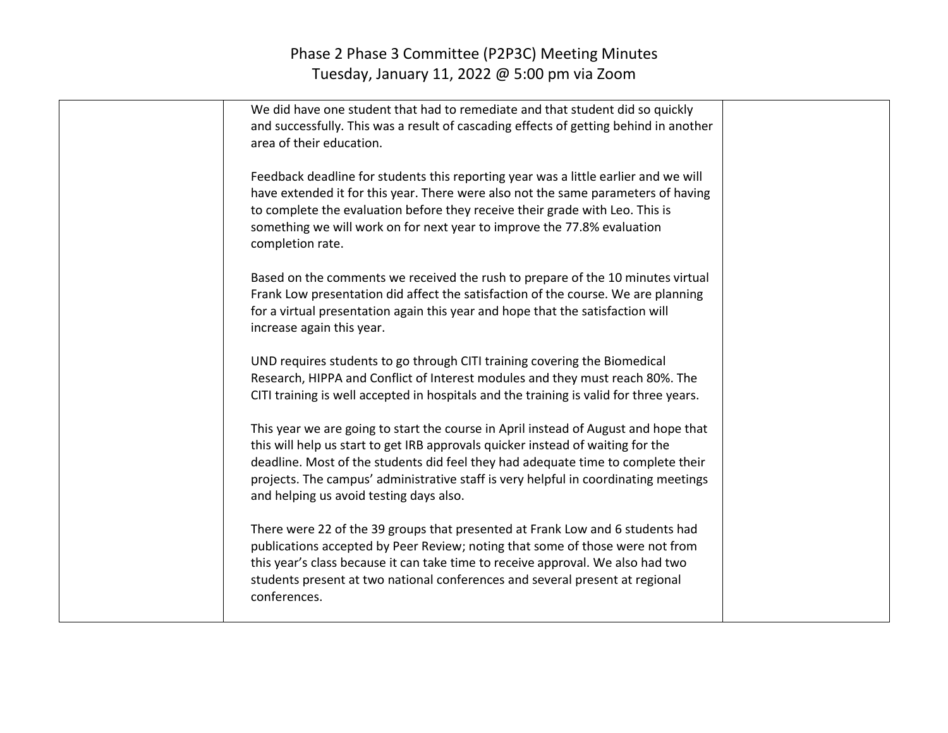| We did have one student that had to remediate and that student did so quickly<br>and successfully. This was a result of cascading effects of getting behind in another<br>area of their education.                                                                                                                                                                                           |  |
|----------------------------------------------------------------------------------------------------------------------------------------------------------------------------------------------------------------------------------------------------------------------------------------------------------------------------------------------------------------------------------------------|--|
| Feedback deadline for students this reporting year was a little earlier and we will<br>have extended it for this year. There were also not the same parameters of having<br>to complete the evaluation before they receive their grade with Leo. This is<br>something we will work on for next year to improve the 77.8% evaluation<br>completion rate.                                      |  |
| Based on the comments we received the rush to prepare of the 10 minutes virtual<br>Frank Low presentation did affect the satisfaction of the course. We are planning<br>for a virtual presentation again this year and hope that the satisfaction will<br>increase again this year.                                                                                                          |  |
| UND requires students to go through CITI training covering the Biomedical<br>Research, HIPPA and Conflict of Interest modules and they must reach 80%. The<br>CITI training is well accepted in hospitals and the training is valid for three years.                                                                                                                                         |  |
| This year we are going to start the course in April instead of August and hope that<br>this will help us start to get IRB approvals quicker instead of waiting for the<br>deadline. Most of the students did feel they had adequate time to complete their<br>projects. The campus' administrative staff is very helpful in coordinating meetings<br>and helping us avoid testing days also. |  |
| There were 22 of the 39 groups that presented at Frank Low and 6 students had<br>publications accepted by Peer Review; noting that some of those were not from<br>this year's class because it can take time to receive approval. We also had two<br>students present at two national conferences and several present at regional<br>conferences.                                            |  |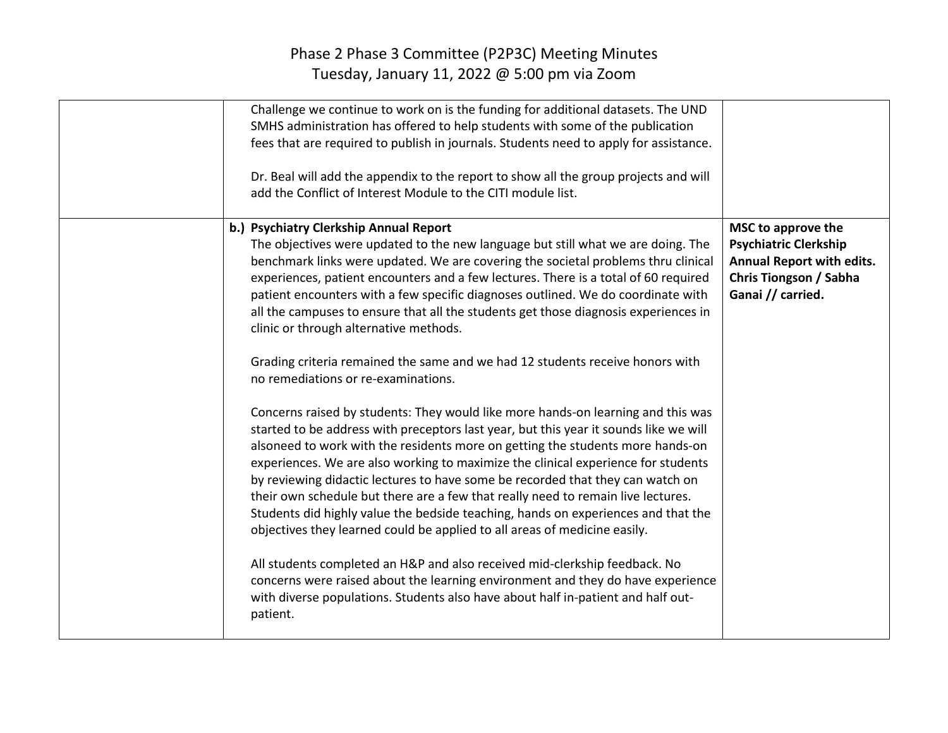| Challenge we continue to work on is the funding for additional datasets. The UND<br>SMHS administration has offered to help students with some of the publication<br>fees that are required to publish in journals. Students need to apply for assistance.<br>Dr. Beal will add the appendix to the report to show all the group projects and will<br>add the Conflict of Interest Module to the CITI module list.                                                                                                                                                                                                                                                                                                                                                                                                                                                                                                                                                                                                                                                                                                                                                                                                                                                                                                                                                                                                                                                                                                                                                                                               |                                                                                                                                       |
|------------------------------------------------------------------------------------------------------------------------------------------------------------------------------------------------------------------------------------------------------------------------------------------------------------------------------------------------------------------------------------------------------------------------------------------------------------------------------------------------------------------------------------------------------------------------------------------------------------------------------------------------------------------------------------------------------------------------------------------------------------------------------------------------------------------------------------------------------------------------------------------------------------------------------------------------------------------------------------------------------------------------------------------------------------------------------------------------------------------------------------------------------------------------------------------------------------------------------------------------------------------------------------------------------------------------------------------------------------------------------------------------------------------------------------------------------------------------------------------------------------------------------------------------------------------------------------------------------------------|---------------------------------------------------------------------------------------------------------------------------------------|
| b.) Psychiatry Clerkship Annual Report<br>The objectives were updated to the new language but still what we are doing. The<br>benchmark links were updated. We are covering the societal problems thru clinical<br>experiences, patient encounters and a few lectures. There is a total of 60 required<br>patient encounters with a few specific diagnoses outlined. We do coordinate with<br>all the campuses to ensure that all the students get those diagnosis experiences in<br>clinic or through alternative methods.<br>Grading criteria remained the same and we had 12 students receive honors with<br>no remediations or re-examinations.<br>Concerns raised by students: They would like more hands-on learning and this was<br>started to be address with preceptors last year, but this year it sounds like we will<br>alsoneed to work with the residents more on getting the students more hands-on<br>experiences. We are also working to maximize the clinical experience for students<br>by reviewing didactic lectures to have some be recorded that they can watch on<br>their own schedule but there are a few that really need to remain live lectures.<br>Students did highly value the bedside teaching, hands on experiences and that the<br>objectives they learned could be applied to all areas of medicine easily.<br>All students completed an H&P and also received mid-clerkship feedback. No<br>concerns were raised about the learning environment and they do have experience<br>with diverse populations. Students also have about half in-patient and half out-<br>patient. | MSC to approve the<br><b>Psychiatric Clerkship</b><br><b>Annual Report with edits.</b><br>Chris Tiongson / Sabha<br>Ganai // carried. |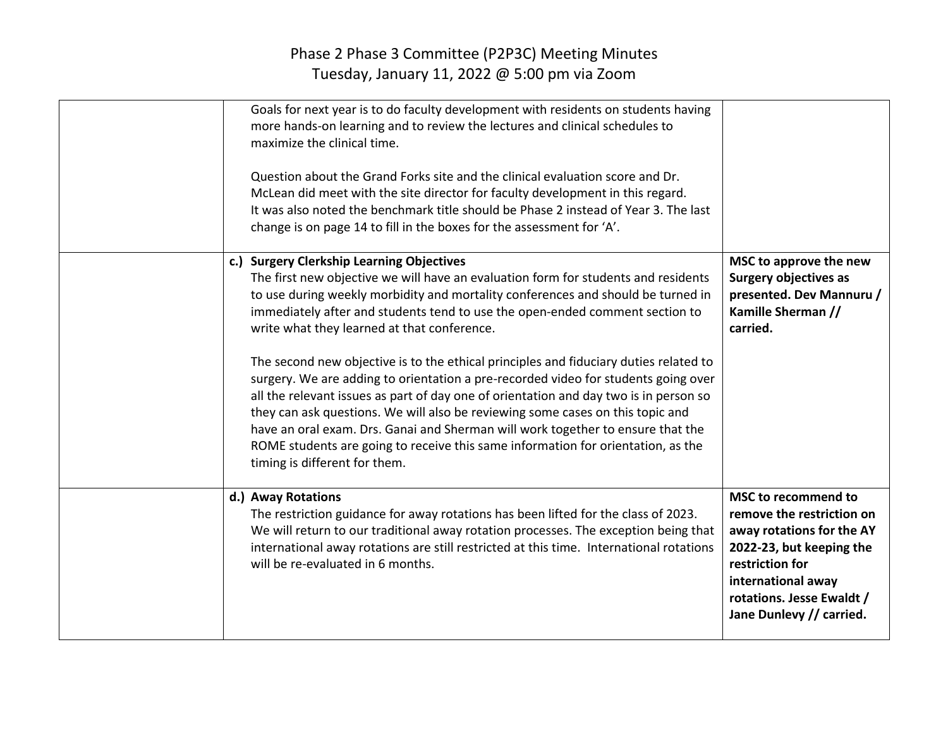| Goals for next year is to do faculty development with residents on students having<br>more hands-on learning and to review the lectures and clinical schedules to<br>maximize the clinical time.<br>Question about the Grand Forks site and the clinical evaluation score and Dr.<br>McLean did meet with the site director for faculty development in this regard.<br>It was also noted the benchmark title should be Phase 2 instead of Year 3. The last<br>change is on page 14 to fill in the boxes for the assessment for 'A'.                                                                                                                                                                                                                                                                                                                                                                                  |                                                                                                                                                                                                             |
|----------------------------------------------------------------------------------------------------------------------------------------------------------------------------------------------------------------------------------------------------------------------------------------------------------------------------------------------------------------------------------------------------------------------------------------------------------------------------------------------------------------------------------------------------------------------------------------------------------------------------------------------------------------------------------------------------------------------------------------------------------------------------------------------------------------------------------------------------------------------------------------------------------------------|-------------------------------------------------------------------------------------------------------------------------------------------------------------------------------------------------------------|
| c.) Surgery Clerkship Learning Objectives<br>The first new objective we will have an evaluation form for students and residents<br>to use during weekly morbidity and mortality conferences and should be turned in<br>immediately after and students tend to use the open-ended comment section to<br>write what they learned at that conference.<br>The second new objective is to the ethical principles and fiduciary duties related to<br>surgery. We are adding to orientation a pre-recorded video for students going over<br>all the relevant issues as part of day one of orientation and day two is in person so<br>they can ask questions. We will also be reviewing some cases on this topic and<br>have an oral exam. Drs. Ganai and Sherman will work together to ensure that the<br>ROME students are going to receive this same information for orientation, as the<br>timing is different for them. | MSC to approve the new<br><b>Surgery objectives as</b><br>presented. Dev Mannuru /<br>Kamille Sherman //<br>carried.                                                                                        |
| d.) Away Rotations<br>The restriction guidance for away rotations has been lifted for the class of 2023.<br>We will return to our traditional away rotation processes. The exception being that<br>international away rotations are still restricted at this time. International rotations<br>will be re-evaluated in 6 months.                                                                                                                                                                                                                                                                                                                                                                                                                                                                                                                                                                                      | MSC to recommend to<br>remove the restriction on<br>away rotations for the AY<br>2022-23, but keeping the<br>restriction for<br>international away<br>rotations. Jesse Ewaldt /<br>Jane Dunlevy // carried. |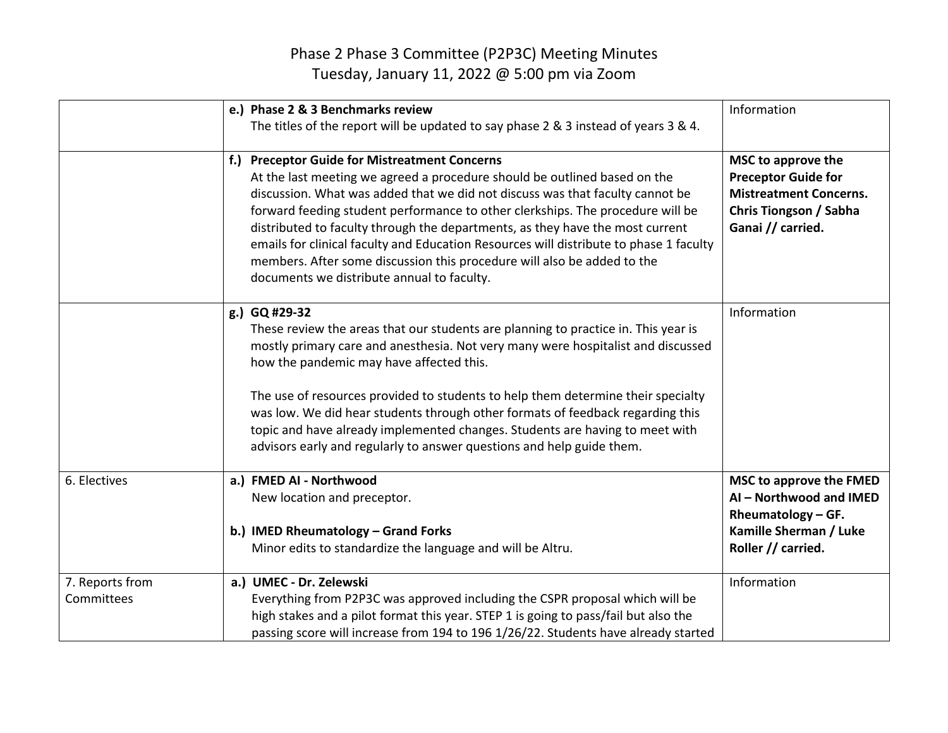|                               | e.) Phase 2 & 3 Benchmarks review<br>The titles of the report will be updated to say phase 2 & 3 instead of years 3 & 4.                                                                                                                                                                                                                                                                                                                                                                                                                                                                          | Information                                                                                                                      |
|-------------------------------|---------------------------------------------------------------------------------------------------------------------------------------------------------------------------------------------------------------------------------------------------------------------------------------------------------------------------------------------------------------------------------------------------------------------------------------------------------------------------------------------------------------------------------------------------------------------------------------------------|----------------------------------------------------------------------------------------------------------------------------------|
|                               | f.) Preceptor Guide for Mistreatment Concerns<br>At the last meeting we agreed a procedure should be outlined based on the<br>discussion. What was added that we did not discuss was that faculty cannot be<br>forward feeding student performance to other clerkships. The procedure will be<br>distributed to faculty through the departments, as they have the most current<br>emails for clinical faculty and Education Resources will distribute to phase 1 faculty<br>members. After some discussion this procedure will also be added to the<br>documents we distribute annual to faculty. | MSC to approve the<br><b>Preceptor Guide for</b><br><b>Mistreatment Concerns.</b><br>Chris Tiongson / Sabha<br>Ganai // carried. |
|                               | g.) GQ #29-32<br>These review the areas that our students are planning to practice in. This year is<br>mostly primary care and anesthesia. Not very many were hospitalist and discussed<br>how the pandemic may have affected this.<br>The use of resources provided to students to help them determine their specialty<br>was low. We did hear students through other formats of feedback regarding this<br>topic and have already implemented changes. Students are having to meet with<br>advisors early and regularly to answer questions and help guide them.                                | Information                                                                                                                      |
| 6. Electives                  | a.) FMED AI - Northwood<br>New location and preceptor.<br>b.) IMED Rheumatology - Grand Forks<br>Minor edits to standardize the language and will be Altru.                                                                                                                                                                                                                                                                                                                                                                                                                                       | MSC to approve the FMED<br>AI - Northwood and IMED<br>Rheumatology - GF.<br>Kamille Sherman / Luke<br>Roller // carried.         |
| 7. Reports from<br>Committees | a.) UMEC - Dr. Zelewski<br>Everything from P2P3C was approved including the CSPR proposal which will be<br>high stakes and a pilot format this year. STEP 1 is going to pass/fail but also the<br>passing score will increase from 194 to 196 1/26/22. Students have already started                                                                                                                                                                                                                                                                                                              | Information                                                                                                                      |